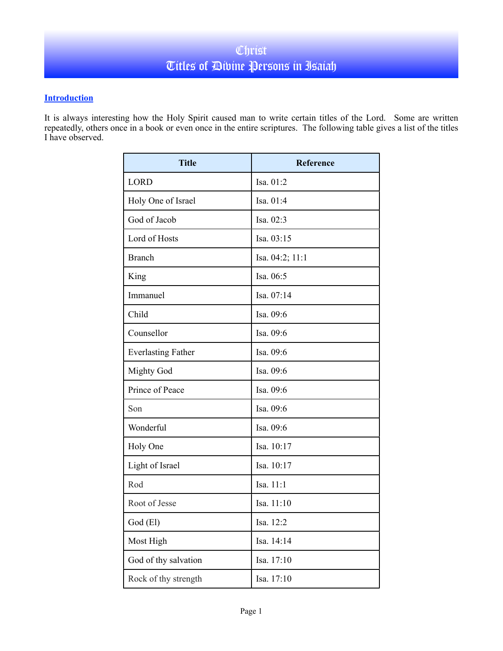## **Introduction**

It is always interesting how the Holy Spirit caused man to write certain titles of the Lord. Some are written repeatedly, others once in a book or even once in the entire scriptures. The following table gives a list of the titles I have observed.

| <b>Title</b>              | <b>Reference</b> |
|---------------------------|------------------|
| <b>LORD</b>               | Isa. 01:2        |
| Holy One of Israel        | Isa. 01:4        |
| God of Jacob              | Isa. 02:3        |
| Lord of Hosts             | Isa. 03:15       |
| <b>Branch</b>             | Isa. 04:2; 11:1  |
| King                      | Isa. 06:5        |
| Immanuel                  | Isa. 07:14       |
| Child                     | Isa. 09:6        |
| Counsellor                | Isa. 09:6        |
| <b>Everlasting Father</b> | Isa. 09:6        |
| <b>Mighty God</b>         | Isa. 09:6        |
| Prince of Peace           | Isa. 09:6        |
| Son                       | Isa. 09:6        |
| Wonderful                 | Isa. 09:6        |
| Holy One                  | Isa. 10:17       |
| Light of Israel           | Isa. 10:17       |
| Rod                       | Isa. 11:1        |
| Root of Jesse             | Isa. 11:10       |
| God (El)                  | Isa. 12:2        |
| Most High                 | Isa. 14:14       |
| God of thy salvation      | Isa. 17:10       |
| Rock of thy strength      | Isa. 17:10       |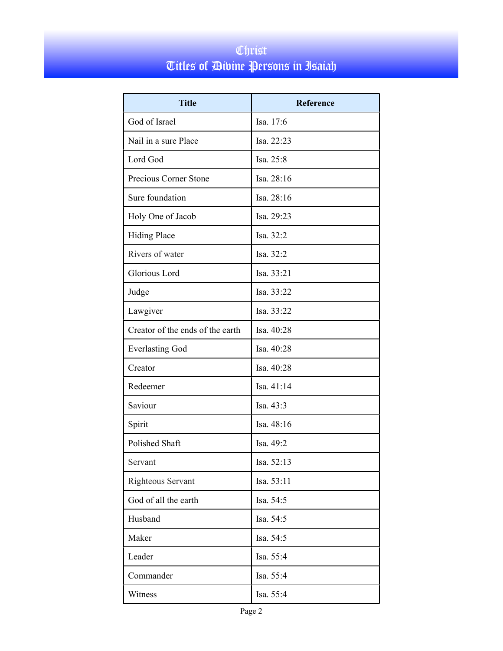## Christ Titles of Divine Persons in Isaiah

| <b>Title</b>                     | <b>Reference</b> |
|----------------------------------|------------------|
| God of Israel                    | Isa. 17:6        |
| Nail in a sure Place             | Isa. 22:23       |
| Lord God                         | Isa. 25:8        |
| Precious Corner Stone            | Isa. 28:16       |
| Sure foundation                  | Isa. 28:16       |
| Holy One of Jacob                | Isa. 29:23       |
| <b>Hiding Place</b>              | Isa. 32:2        |
| Rivers of water                  | Isa. 32:2        |
| Glorious Lord                    | Isa. 33:21       |
| Judge                            | Isa. 33:22       |
| Lawgiver                         | Isa. 33:22       |
| Creator of the ends of the earth | Isa. 40:28       |
| <b>Everlasting God</b>           | Isa. 40:28       |
| Creator                          | Isa. 40:28       |
| Redeemer                         | Isa. 41:14       |
| Saviour                          | Isa. 43:3        |
| Spirit                           | Isa. 48:16       |
| Polished Shaft                   | Isa, 49:2        |
| Servant                          | Isa. 52:13       |
| Righteous Servant                | Isa. 53:11       |
| God of all the earth             | Isa. 54:5        |
| Husband                          | Isa. 54:5        |
| Maker                            | Isa. 54:5        |
| Leader                           | Isa. 55:4        |
| Commander                        | Isa. 55:4        |
| Witness                          | Isa. 55:4        |